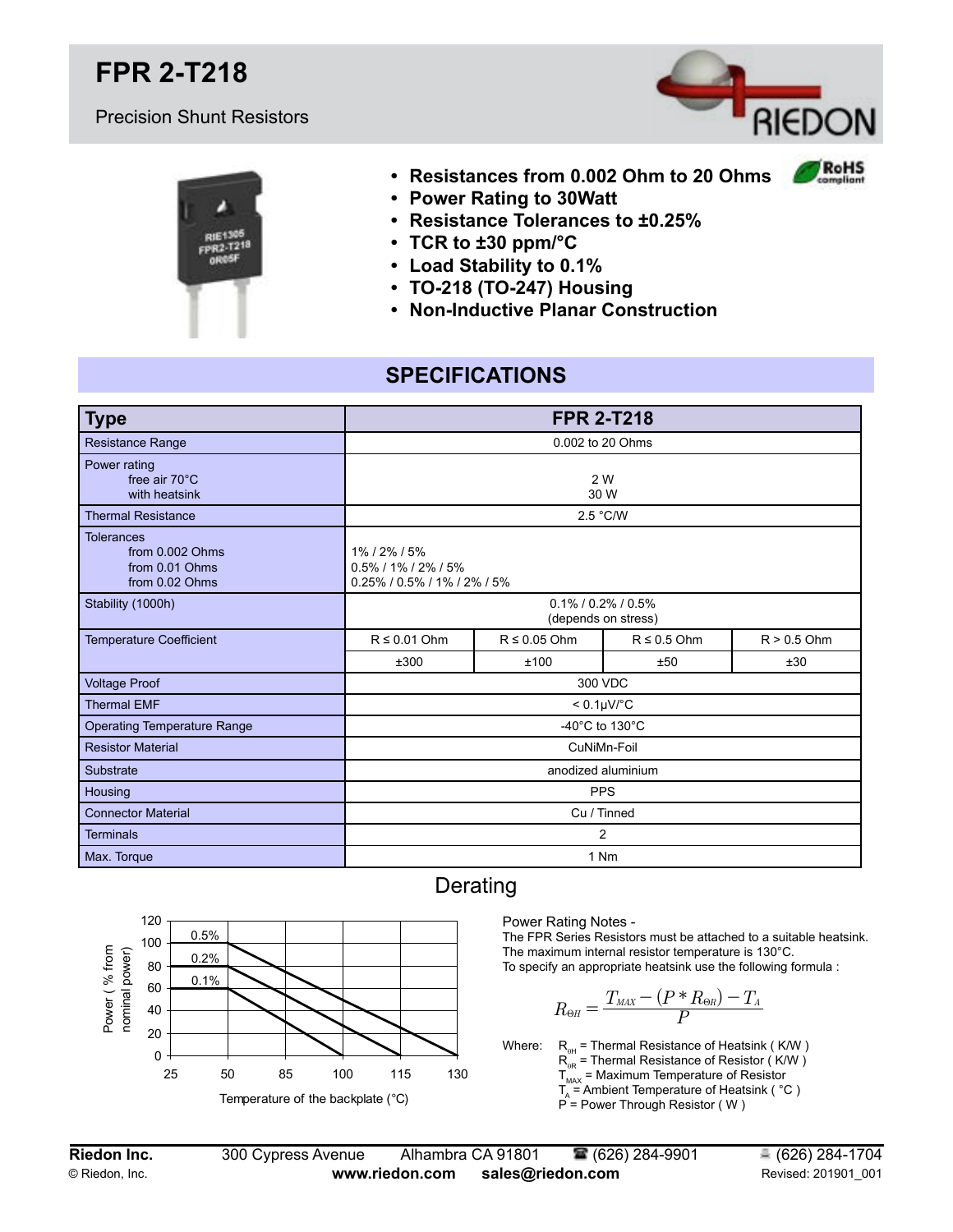# **FPR 2-T218**

#### Precision Shunt Resistors



RoHS



- **• Resistances from 0.002 Ohm to 20 Ohms**
- **• Power Rating to 30Watt**
- **• Resistance Tolerances to ±0.25%**
- **• TCR to ±30 ppm/°C**
- **• Load Stability to 0.1%**
- **• TO-218 (TO-247) Housing**
- **• Non-Inductive Planar Construction**

### **SPECIFICATIONS**

| <b>Type</b>                                                              | <b>FPR 2-T218</b>                                                     |                   |                  |               |  |  |
|--------------------------------------------------------------------------|-----------------------------------------------------------------------|-------------------|------------------|---------------|--|--|
| <b>Resistance Range</b>                                                  | 0.002 to 20 Ohms                                                      |                   |                  |               |  |  |
| Power rating<br>free air 70°C<br>with heatsink                           | 2 W<br>30 W                                                           |                   |                  |               |  |  |
| <b>Thermal Resistance</b>                                                | 2.5 °C/W                                                              |                   |                  |               |  |  |
| <b>Tolerances</b><br>from 0.002 Ohms<br>from 0.01 Ohms<br>from 0.02 Ohms | 1% / 2% / 5%<br>$0.5\%$ / 1% / 2% / 5%<br>0.25% / 0.5% / 1% / 2% / 5% |                   |                  |               |  |  |
| Stability (1000h)                                                        | $0.1\%$ / 0.2% / 0.5%<br>(depends on stress)                          |                   |                  |               |  |  |
| <b>Temperature Coefficient</b>                                           | $R \leq 0.01$ Ohm                                                     | $R \leq 0.05$ Ohm | $R \leq 0.5$ Ohm | $R > 0.5$ Ohm |  |  |
|                                                                          | ±300                                                                  | ±100              | ±50              | ±30           |  |  |
| <b>Voltage Proof</b>                                                     | 300 VDC                                                               |                   |                  |               |  |  |
| <b>Thermal EMF</b>                                                       | $< 0.1 \mu V$ °C                                                      |                   |                  |               |  |  |
| <b>Operating Temperature Range</b>                                       | -40 $^{\circ}$ C to 130 $^{\circ}$ C                                  |                   |                  |               |  |  |
| <b>Resistor Material</b>                                                 | CuNiMn-Foil                                                           |                   |                  |               |  |  |
| Substrate                                                                | anodized aluminium                                                    |                   |                  |               |  |  |
| Housing                                                                  | <b>PPS</b>                                                            |                   |                  |               |  |  |
| <b>Connector Material</b>                                                | Cu / Tinned                                                           |                   |                  |               |  |  |
| <b>Terminals</b>                                                         | 2                                                                     |                   |                  |               |  |  |
| Max. Torque                                                              | 1 Nm                                                                  |                   |                  |               |  |  |



#### Derating

Power Rating Notes -

The FPR Series Resistors must be attached to a suitable heatsink. The maximum internal resistor temperature is 130°C. To specify an appropriate heatsink use the following formula :

$$
R_{\Theta\!H}=\frac{T_{\rm{MAX}}-(P\ast R_{\Theta\!R})-T_{\rm{A}}}{P}
$$

Where:  $R_{\text{eq}}$  = Thermal Resistance of Heatsink ( K/W )  $R_{\text{QR}}^{\text{QCD}}$  = Thermal Resistance of Resistor ( K/W )  ${\sf T}_{_{\sf MAX}}$  = Maximum Temperature of Resistor  $\mathsf{T}_{_{\mathsf{A}}}$  = Ambient Temperature of Heatsink (  $^{\circ}\mathsf{C}$  )  $\hat{P}$  = Power Through Resistor (W)